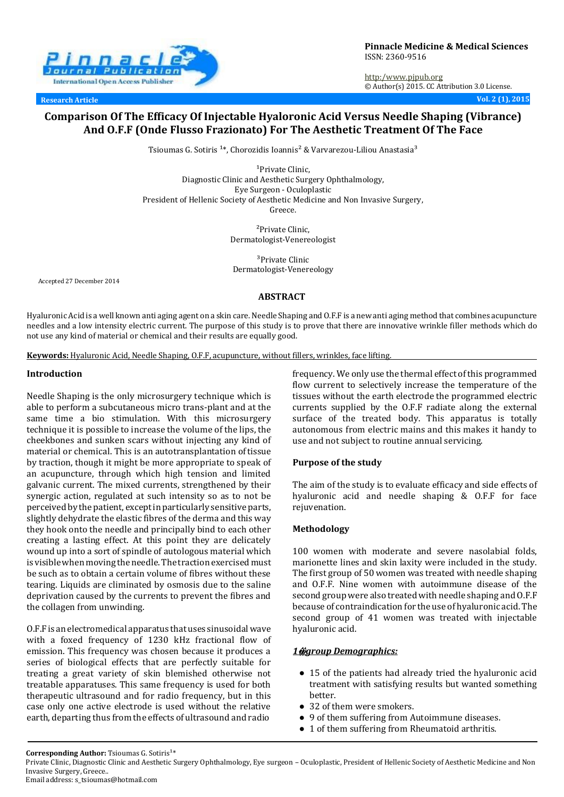

**Research Article Vol. 2 (1), 2015**

http:[/www.pjpub.org](http://www.pjpub.org/) © Author(s) 2015. CC Attribution 3.0 License.

# **Comparison Of The Efficacy Of Injectable Hyaloronic Acid Versus Needle Shaping (Vibrance) And O.F.F (Onde Flusso Frazionato) For The Aesthetic Treatment Of The Face**

Tsioumas G. Sotiris<sup>1\*</sup>, Chorozidis Ioannis<sup>2</sup> & Varvarezou-Liliou Anastasia<sup>3</sup>

<sup>1</sup>Private Clinic. Diagnostic Clinic and Aesthetic Surgery Ophthalmology, Eye Surgeon - Oculoplastic President of Hellenic Society of Aesthetic Medicine and Non Invasive Surgery, Greece.

> ²Private Clinic, Dermatologist-Venereologist

<sup>3</sup>Private Clinic Dermatologist-Venereology

Accepted 27 December 2014

**ABSTRACT**

Hyaluronic Acid is a well known anti aging agent on a skin care. Needle Shaping and O.F.F is a new anti aging method that combines acupuncture needles and a low intensity electric current. The purpose of this study is to prove that there are innovative wrinkle filler methods which do not use any kind of material or chemical and their results are equally good.

**Keywords:** Hyaluronic Acid, Needle Shaping, O.F.F, acupuncture, without fillers, wrinkles, face lifting.

#### **Introduction**

Needle Shaping is the only microsurgery technique which is able to perform a subcutaneous micro trans-plant and at the same time a bio stimulation. With this microsurgery technique it is possible to increase the volume of the lips, the cheekbones and sunken scars without injecting any kind of material or chemical. This is an autotransplantation oftissue by traction, though it might be more appropriate to speak of an acupuncture, through which high tension and limited galvanic current. The mixed currents, strengthened by their synergic action, regulated at such intensity so as to not be perceivedby the patient, exceptinparticularly sensitive parts, slightly dehydrate the elastic fibres of the derma and this way they hook onto the needle and principally bind to each other creating a lasting effect. At this point they are delicately wound up into a sort of spindle of autologous material which is visible when moving the needle. The traction exercised must be such as to obtain a certain volume of fibres without these tearing. Liquids are climinated by osmosis due to the saline deprivation caused by the currents to prevent the fibres and the collagen from unwinding.

O.F.Fis anelectromedical apparatus thatuses sinusoidalwave with a foxed frequency of 1230 kHz fractional flow of emission. This frequency was chosen because it produces a series of biological effects that are perfectly suitable for treating a great variety of skin blemished otherwise not treatable apparatuses. This same frequency is used for both therapeutic ultrasound and for radio frequency, but in this case only one active electrode is used without the relative earth, departing thus from the effects of ultrasound and radio

frequency. We only use the thermal effect of this programmed flow current to selectively increase the temperature of the tissues without the earth electrode the programmed electric currents supplied by the O.F.F radiate along the external surface of the treated body. This apparatus is totally autonomous from electric mains and this makes it handy to use and not subject to routine annual servicing.

# **Purpose of the study**

The aim of the study is to evaluate efficacy and side effects of hyaluronic acid and needle shaping & O.F.F for face rejuvenation.

#### **Methodology**

100 women with moderate and severe nasolabial folds, marionette lines and skin laxity were included in the study. The first group of 50 women was treated with needle shaping and O.F.F. Nine women with autoimmune disease of the second group were also treated with needle shaping and O.F.F because of contraindication for the use of hyaluronic acid. The second group of 41 women was treated with injectable hyaluronic acid.

#### *1***�** *group Demographics:*

- 15 of the patients had already tried the hyaluronic acid treatment with satisfying results but wanted something better.
- 32 of them were smokers.
- 9 of them suffering from Autoimmune diseases.
- 1 of them suffering from Rheumatoid arthritis.

Email addres[s: s\\_tsioumas@hotmail.com](mailto:s_tsioumas@hotmail.com)

Corresponding Author: Tsioumas G. Sotiris<sup>1\*</sup>

Private Clinic, Diagnostic Clinic and Aesthetic Surgery Ophthalmology, Eye surgeon – Oculoplastic, President of Hellenic Society of Aesthetic Medicine and Non Invasive Surgery, Greece..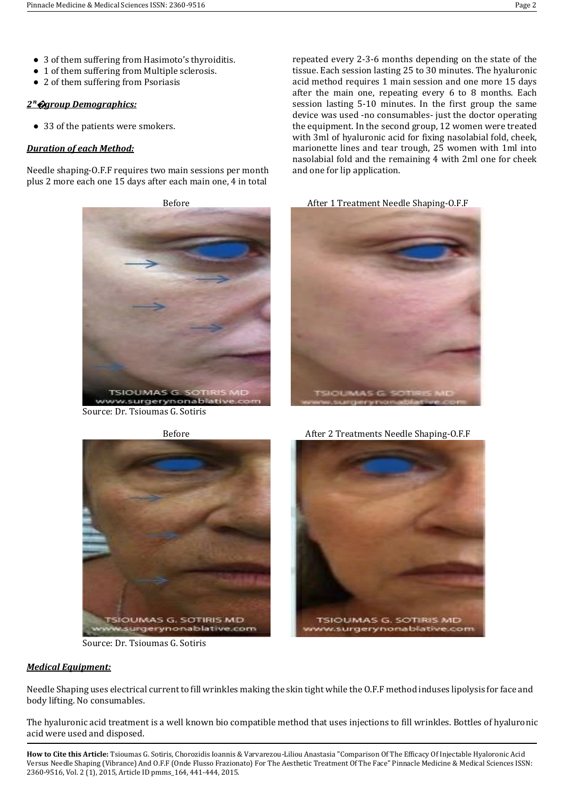- 3 of them suffering from Hasimoto's thyroiditis.
- 1 of them suffering from Multiple sclerosis.
- 2 of them suffering from Psoriasis

#### *2ⁿ***�***group Demographics:*

● 33 of the patients were smokers.

### *Duration of each Method:*

Needle shaping-O.F.F requires two main sessions per month plus 2 more each one 15 days after each main one, 4 in total

> **TSIOUMAS G** www.surgerynonablativ

Source: Dr. Tsioumas G. Sotiris

repeated every 2-3-6 months depending on the state of the tissue. Each session lasting 25 to 30 minutes. The hyaluronic acid method requires 1 main session and one more 15 days after the main one, repeating every 6 to 8 months. Each session lasting 5-10 minutes. In the first group the same device was used -no consumables- just the doctor operating the equipment. In the second group, 12 women were treated with 3ml of hyaluronic acid for fixing nasolabial fold, cheek, marionette lines and tear trough, 25 women with 1ml into nasolabial fold and the remaining 4 with 2ml one for cheek and one for lip application.

Source: Dr. Tsioumas G. Sotiris

# *Medical Equipment:*

Needle Shaping uses electrical current to fill wrinkles making the skin tight while the O.F.F method induses lipolysis for face and body lifting. No consumables.

The hyaluronic acid treatment is a well known bio compatible method that uses injections to fill wrinkles. Bottles of hyaluronic acid were used and disposed.

**How to Cite this Article:** Tsioumas G. Sotiris, Chorozidis Ioannis & Varvarezou-Liliou Anastasia "Comparison Of The Efficacy Of Injectable Hyaloronic Acid Versus Needle Shaping (Vibrance) And O.F.F (Onde Flusso Frazionato) For The Aesthetic Treatment Of The Face" Pinnacle Medicine & Medical Sciences ISSN: 2360-9516, Vol. 2 (1), 2015, Article ID pmms\_164, 441-444, 2015.





**TSIOUMAS G. SOTIRIS MD** 

w.surgerynonablative.com



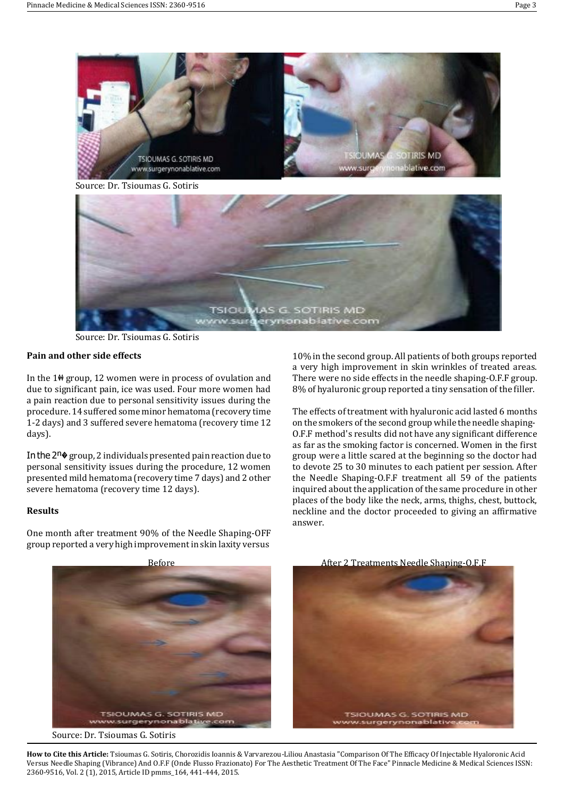

Source: Dr. Tsioumas G. Sotiris

# **Pain and other side effects**

In the 1�� group, 12 women were in process of ovulation and due to significant pain, ice was used. Four more women had a pain reaction due to personal sensitivity issues during the procedure. 14 suffered some minor hematoma (recovery time 1-2 days) and 3 suffered severe hematoma (recovery time 12 days).

In the  $2^n$  group, 2 individuals presented pain reaction due to personal sensitivity issues during the procedure, 12 women presented mild hematoma (recovery time 7 days) and 2 other severe hematoma (recovery time 12 days).

# **Results**

One month after treatment 90% of the Needle Shaping-OFF group reported a very high improvementin skin laxity versus

10% in the second group. All patients of both groups reported a very high improvement in skin wrinkles of treated areas. There were no side effects in the needle shaping-O.F.F group. 8% of hyaluronic group reported a tiny sensation of the filler.

The effects of treatment with hyaluronic acid lasted 6 months on the smokers ofthe second group while the needle shaping-O.F.F method's results did not have any significant difference as far as the smoking factor is concerned. Women in the first group were a little scared at the beginning so the doctor had to devote 25 to 30 minutes to each patient per session. After the Needle Shaping-O.F.F treatment all 59 of the patients inquired about the application of the same procedure in other places of the body like the neck, arms, thighs, chest, buttock, neckline and the doctor proceeded to giving an affirmative answer.



**How to Cite this Article:** Tsioumas G. Sotiris, Chorozidis Ioannis & Varvarezou-Liliou Anastasia "Comparison Of The Efficacy Of Injectable Hyaloronic Acid Versus Needle Shaping (Vibrance) And O.F.F (Onde Flusso Frazionato) For The Aesthetic Treatment Of The Face" Pinnacle Medicine & Medical Sciences ISSN: 2360-9516, Vol. 2 (1), 2015, Article ID pmms\_164, 441-444, 2015.